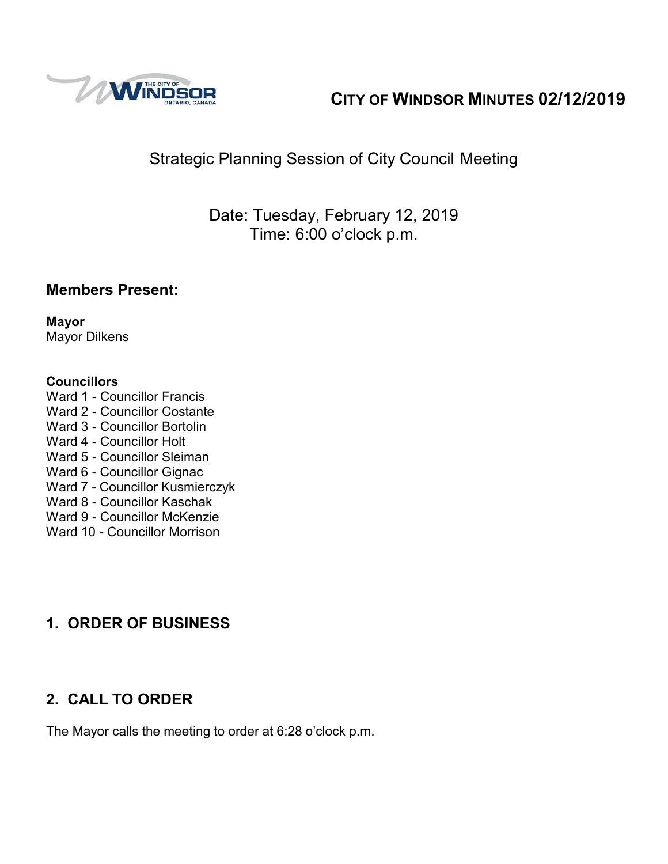

# **CITY OF WINDSOR MINUTES 02/12/2019**

# Strategic Planning Session of City Council Meeting

Date: Tuesday, February 12, 2019 Time: 6:00 o'clock p.m.

## **Members Present:**

**Mayor** Mayor Dilkens

#### **Councillors**

- Ward 1 Councillor Francis Ward 2 - Councillor Costante Ward 3 - Councillor Bortolin Ward 4 - Councillor Holt Ward 5 - Councillor Sleiman Ward 6 - Councillor Gignac Ward 7 - Councillor Kusmierczyk Ward 8 - Councillor Kaschak Ward 9 - Councillor McKenzie
- Ward 10 Councillor Morrison

## **1. ORDER OF BUSINESS**

# **2. CALL TO ORDER**

The Mayor calls the meeting to order at 6:28 o'clock p.m.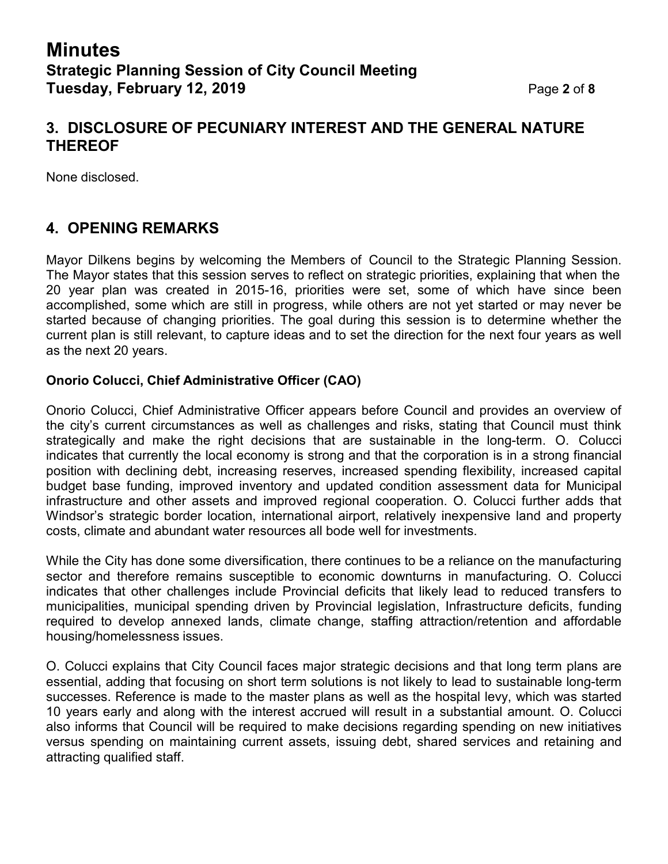## **3. DISCLOSURE OF PECUNIARY INTEREST AND THE GENERAL NATURE THEREOF**

None disclosed.

## **4. OPENING REMARKS**

Mayor Dilkens begins by welcoming the Members of Council to the Strategic Planning Session. The Mayor states that this session serves to reflect on strategic priorities, explaining that when the 20 year plan was created in 2015-16, priorities were set, some of which have since been accomplished, some which are still in progress, while others are not yet started or may never be started because of changing priorities. The goal during this session is to determine whether the current plan is still relevant, to capture ideas and to set the direction for the next four years as well as the next 20 years.

#### **Onorio Colucci, Chief Administrative Officer (CAO)**

Onorio Colucci, Chief Administrative Officer appears before Council and provides an overview of the city's current circumstances as well as challenges and risks, stating that Council must think strategically and make the right decisions that are sustainable in the long-term. O. Colucci indicates that currently the local economy is strong and that the corporation is in a strong financial position with declining debt, increasing reserves, increased spending flexibility, increased capital budget base funding, improved inventory and updated condition assessment data for Municipal infrastructure and other assets and improved regional cooperation. O. Colucci further adds that Windsor's strategic border location, international airport, relatively inexpensive land and property costs, climate and abundant water resources all bode well for investments.

While the City has done some diversification, there continues to be a reliance on the manufacturing sector and therefore remains susceptible to economic downturns in manufacturing. O. Colucci indicates that other challenges include Provincial deficits that likely lead to reduced transfers to municipalities, municipal spending driven by Provincial legislation, Infrastructure deficits, funding required to develop annexed lands, climate change, staffing attraction/retention and affordable housing/homelessness issues.

O. Colucci explains that City Council faces major strategic decisions and that long term plans are essential, adding that focusing on short term solutions is not likely to lead to sustainable long-term successes. Reference is made to the master plans as well as the hospital levy, which was started 10 years early and along with the interest accrued will result in a substantial amount. O. Colucci also informs that Council will be required to make decisions regarding spending on new initiatives versus spending on maintaining current assets, issuing debt, shared services and retaining and attracting qualified staff.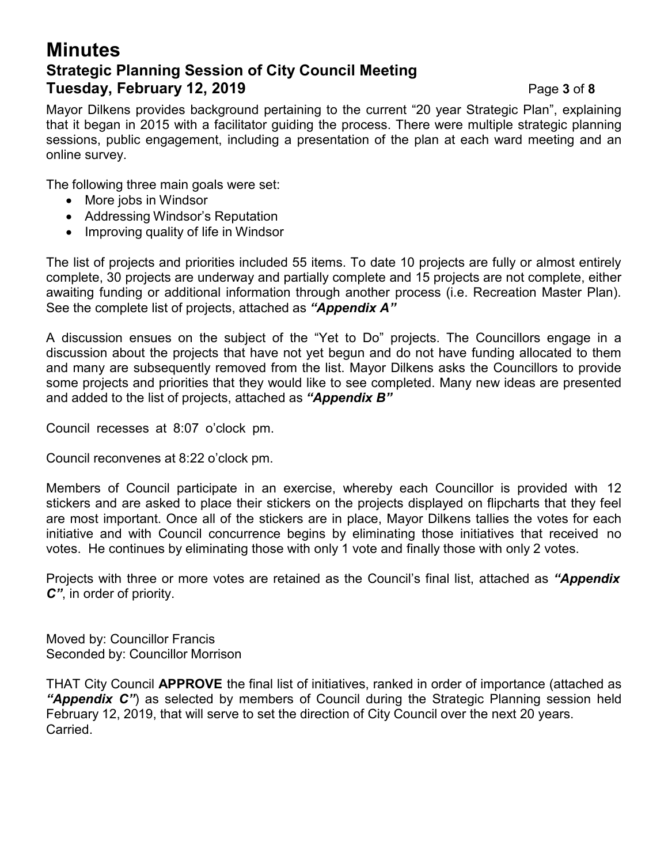## **Minutes Strategic Planning Session of City Council Meeting Tuesday, February 12, 2019** Page **3** of **8**

Mayor Dilkens provides background pertaining to the current "20 year Strategic Plan", explaining that it began in 2015 with a facilitator guiding the process. There were multiple strategic planning sessions, public engagement, including a presentation of the plan at each ward meeting and an online survey.

The following three main goals were set:

- More jobs in Windsor
- Addressing Windsor's Reputation
- Improving quality of life in Windsor

The list of projects and priorities included 55 items. To date 10 projects are fully or almost entirely complete, 30 projects are underway and partially complete and 15 projects are not complete, either awaiting funding or additional information through another process (i.e. Recreation Master Plan). See the complete list of projects, attached as *"Appendix A"*

A discussion ensues on the subject of the "Yet to Do" projects. The Councillors engage in a discussion about the projects that have not yet begun and do not have funding allocated to them and many are subsequently removed from the list. Mayor Dilkens asks the Councillors to provide some projects and priorities that they would like to see completed. Many new ideas are presented and added to the list of projects, attached as *"Appendix B"*

Council recesses at 8:07 o'clock pm.

Council reconvenes at 8:22 o'clock pm.

Members of Council participate in an exercise, whereby each Councillor is provided with 12 stickers and are asked to place their stickers on the projects displayed on flipcharts that they feel are most important. Once all of the stickers are in place, Mayor Dilkens tallies the votes for each initiative and with Council concurrence begins by eliminating those initiatives that received no votes. He continues by eliminating those with only 1 vote and finally those with only 2 votes.

Projects with three or more votes are retained as the Council's final list, attached as *"Appendix C"*, in order of priority.

Moved by: Councillor Francis Seconded by: Councillor Morrison

THAT City Council **APPROVE** the final list of initiatives, ranked in order of importance (attached as *"Appendix C"*) as selected by members of Council during the Strategic Planning session held February 12, 2019, that will serve to set the direction of City Council over the next 20 years. Carried.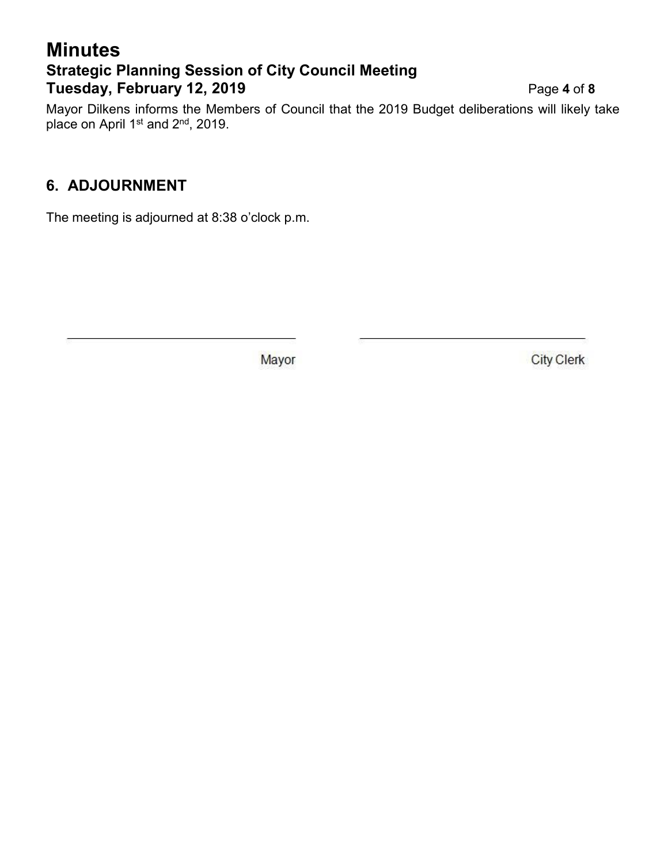# **Minutes Strategic Planning Session of City Council Meeting Tuesday, February 12, 2019** Page **4** of **8**

Mayor Dilkens informs the Members of Council that the 2019 Budget deliberations will likely take place on April 1st and 2<sup>nd</sup>, 2019.

## **6. ADJOURNMENT**

The meeting is adjourned at 8:38 o'clock p.m.

Mayor

**City Clerk**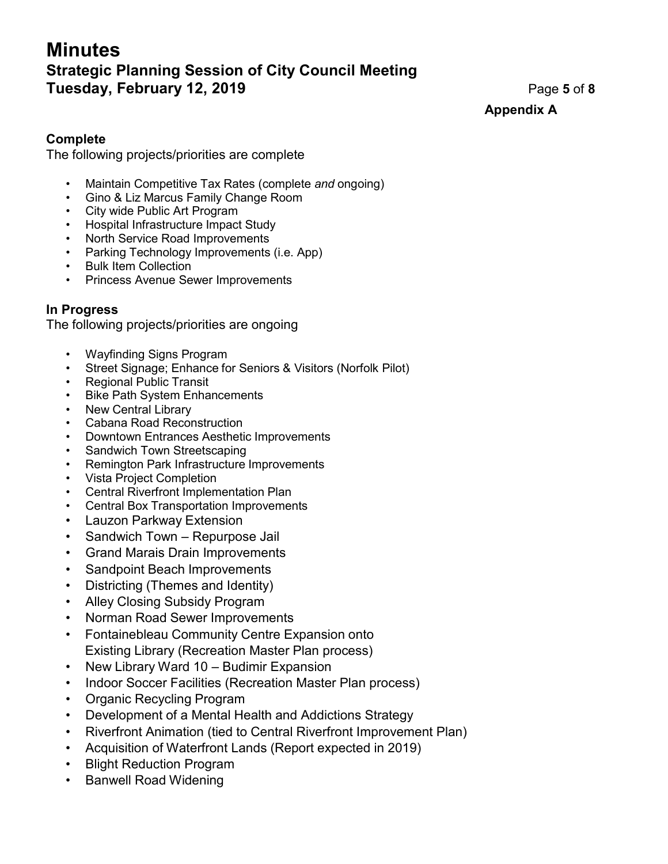# **Minutes Strategic Planning Session of City Council Meeting Tuesday, February 12, 2019** Page **5** of **8**

**Appendix A**

#### **Complete**

The following projects/priorities are complete

- Maintain Competitive Tax Rates (complete *and* ongoing)
- Gino & Liz Marcus Family Change Room
- City wide Public Art Program
- Hospital Infrastructure Impact Study
- North Service Road Improvements
- Parking Technology Improvements (i.e. App)
- Bulk Item Collection
- Princess Avenue Sewer Improvements

#### **In Progress**

The following projects/priorities are ongoing

- Wayfinding Signs Program
- Street Signage; Enhance for Seniors & Visitors (Norfolk Pilot)
- Regional Public Transit
- Bike Path System Enhancements
- New Central Library
- Cabana Road Reconstruction
- Downtown Entrances Aesthetic Improvements
- Sandwich Town Streetscaping
- Remington Park Infrastructure Improvements
- Vista Project Completion
- Central Riverfront Implementation Plan
- Central Box Transportation Improvements
- Lauzon Parkway Extension
- Sandwich Town Repurpose Jail
- Grand Marais Drain Improvements
- Sandpoint Beach Improvements
- Districting (Themes and Identity)
- Alley Closing Subsidy Program
- Norman Road Sewer Improvements
- Fontainebleau Community Centre Expansion onto Existing Library (Recreation Master Plan process)
- New Library Ward 10 Budimir Expansion
- Indoor Soccer Facilities (Recreation Master Plan process)
- Organic Recycling Program
- Development of a Mental Health and Addictions Strategy
- Riverfront Animation (tied to Central Riverfront Improvement Plan)
- Acquisition of Waterfront Lands (Report expected in 2019)
- Blight Reduction Program
- Banwell Road Widening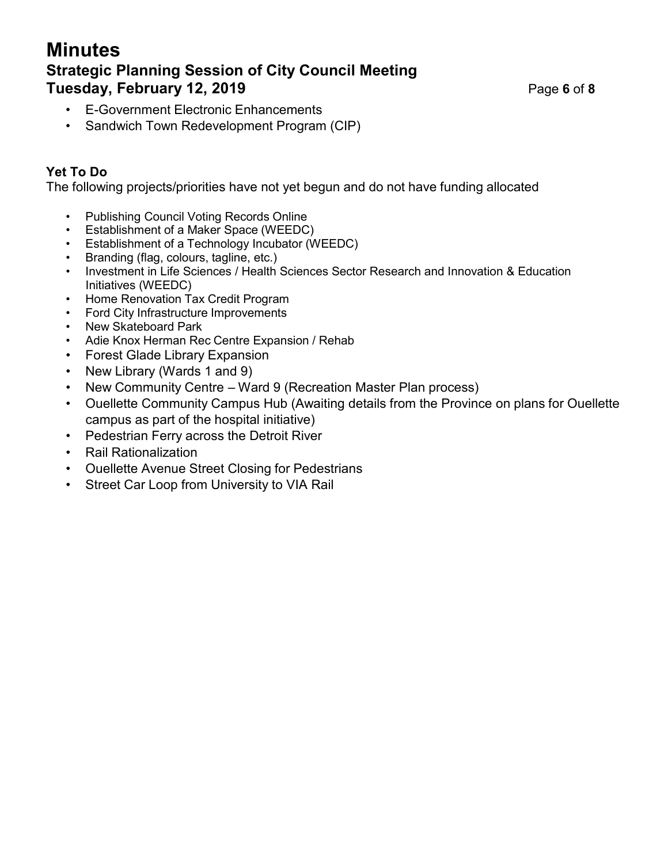## **Minutes Strategic Planning Session of City Council Meeting Tuesday, February 12, 2019** Page **6** of **8**

- E-Government Electronic Enhancements
- Sandwich Town Redevelopment Program (CIP)

## **Yet To Do**

The following projects/priorities have not yet begun and do not have funding allocated

- Publishing Council Voting Records Online
- Establishment of a Maker Space (WEEDC)
- Establishment of a Technology Incubator (WEEDC)
- Branding (flag, colours, tagline, etc.)
- Investment in Life Sciences / Health Sciences Sector Research and Innovation & Education Initiatives (WEEDC)
- Home Renovation Tax Credit Program
- Ford City Infrastructure Improvements
- New Skateboard Park
- Adie Knox Herman Rec Centre Expansion / Rehab
- Forest Glade Library Expansion
- New Library (Wards 1 and 9)
- New Community Centre Ward 9 (Recreation Master Plan process)
- Ouellette Community Campus Hub (Awaiting details from the Province on plans for Ouellette campus as part of the hospital initiative)
- Pedestrian Ferry across the Detroit River
- Rail Rationalization
- Ouellette Avenue Street Closing for Pedestrians
- Street Car Loop from University to VIA Rail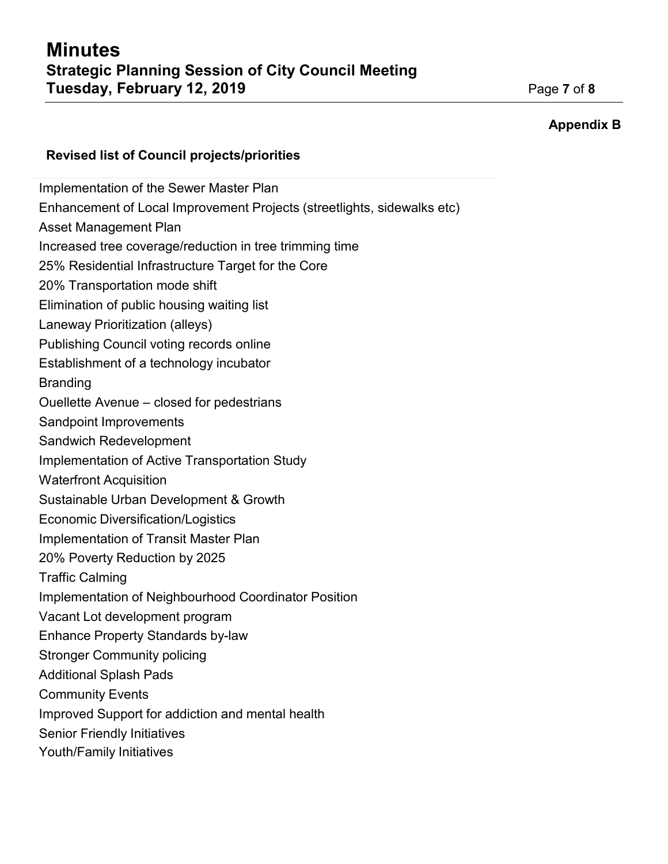#### **Appendix B**

#### **Revised list of Council projects/priorities**

Implementation of the Sewer Master Plan Enhancement of Local Improvement Projects (streetlights, sidewalks etc) Asset Management Plan Increased tree coverage/reduction in tree trimming time 25% Residential Infrastructure Target for the Core 20% Transportation mode shift Elimination of public housing waiting list Laneway Prioritization (alleys) Publishing Council voting records online Establishment of a technology incubator Branding Ouellette Avenue – closed for pedestrians Sandpoint Improvements Sandwich Redevelopment Implementation of Active Transportation Study Waterfront Acquisition Sustainable Urban Development & Growth Economic Diversification/Logistics Implementation of Transit Master Plan 20% Poverty Reduction by 2025 Traffic Calming Implementation of Neighbourhood Coordinator Position Vacant Lot development program Enhance Property Standards by-law Stronger Community policing Additional Splash Pads Community Events Improved Support for addiction and mental health Senior Friendly Initiatives Youth/Family Initiatives